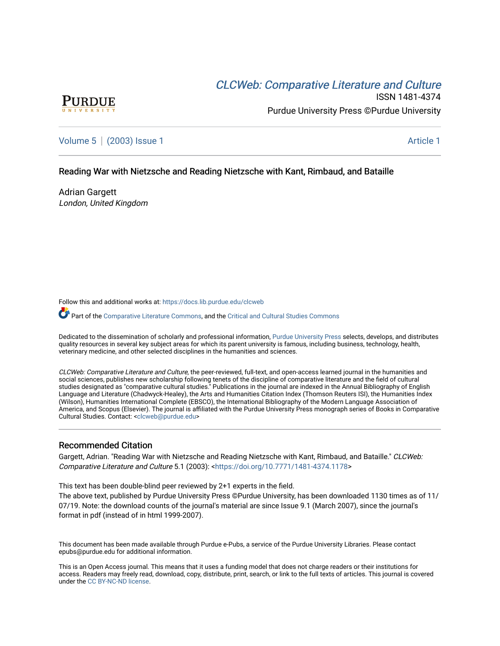# CLCW[eb: Comparative Liter](https://docs.lib.purdue.edu/clcweb)ature and Culture



ISSN 1481-4374 Purdue University Press ©Purdue University

[Volume 5](https://docs.lib.purdue.edu/clcweb/vol5) | [\(2003\) Issue 1](https://docs.lib.purdue.edu/clcweb/vol5/iss1) Article 1

## Reading War with Nietzsche and Reading Nietzsche with Kant, Rimbaud, and Bataille

Adrian Gargett London, United Kingdom

Follow this and additional works at: [https://docs.lib.purdue.edu/clcweb](https://docs.lib.purdue.edu/clcweb?utm_source=docs.lib.purdue.edu%2Fclcweb%2Fvol5%2Fiss1%2F1&utm_medium=PDF&utm_campaign=PDFCoverPages)

Part of the [Comparative Literature Commons,](http://network.bepress.com/hgg/discipline/454?utm_source=docs.lib.purdue.edu%2Fclcweb%2Fvol5%2Fiss1%2F1&utm_medium=PDF&utm_campaign=PDFCoverPages) and the [Critical and Cultural Studies Commons](http://network.bepress.com/hgg/discipline/328?utm_source=docs.lib.purdue.edu%2Fclcweb%2Fvol5%2Fiss1%2F1&utm_medium=PDF&utm_campaign=PDFCoverPages) 

Dedicated to the dissemination of scholarly and professional information, [Purdue University Press](http://www.thepress.purdue.edu/) selects, develops, and distributes quality resources in several key subject areas for which its parent university is famous, including business, technology, health, veterinary medicine, and other selected disciplines in the humanities and sciences.

CLCWeb: Comparative Literature and Culture, the peer-reviewed, full-text, and open-access learned journal in the humanities and social sciences, publishes new scholarship following tenets of the discipline of comparative literature and the field of cultural studies designated as "comparative cultural studies." Publications in the journal are indexed in the Annual Bibliography of English Language and Literature (Chadwyck-Healey), the Arts and Humanities Citation Index (Thomson Reuters ISI), the Humanities Index (Wilson), Humanities International Complete (EBSCO), the International Bibliography of the Modern Language Association of America, and Scopus (Elsevier). The journal is affiliated with the Purdue University Press monograph series of Books in Comparative Cultural Studies. Contact: [<clcweb@purdue.edu](mailto:clcweb@purdue.edu)>

## Recommended Citation

Gargett, Adrian. "Reading War with Nietzsche and Reading Nietzsche with Kant, Rimbaud, and Bataille." CLCWeb: Comparative Literature and Culture 5.1 (2003): <<https://doi.org/10.7771/1481-4374.1178>>

This text has been double-blind peer reviewed by 2+1 experts in the field.

The above text, published by Purdue University Press ©Purdue University, has been downloaded 1130 times as of 11/ 07/19. Note: the download counts of the journal's material are since Issue 9.1 (March 2007), since the journal's format in pdf (instead of in html 1999-2007).

This document has been made available through Purdue e-Pubs, a service of the Purdue University Libraries. Please contact epubs@purdue.edu for additional information.

This is an Open Access journal. This means that it uses a funding model that does not charge readers or their institutions for access. Readers may freely read, download, copy, distribute, print, search, or link to the full texts of articles. This journal is covered under the [CC BY-NC-ND license.](https://creativecommons.org/licenses/by-nc-nd/4.0/)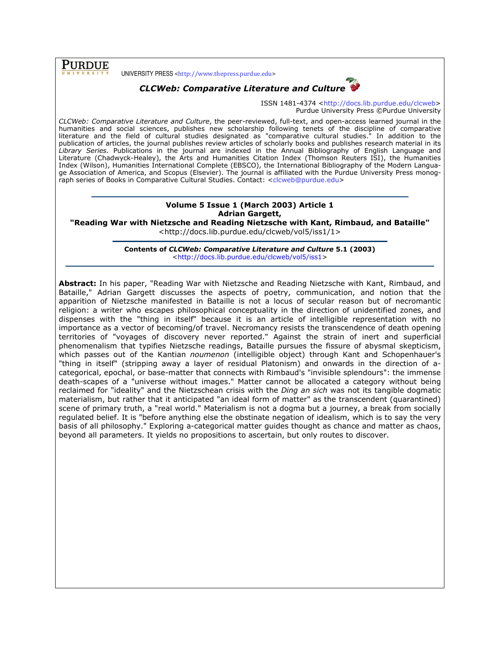**PURDUE** 

UNIVERSITY PRESS <http://www.thepress.purdue.edu>



ISSN 1481-4374 <http://docs.lib.purdue.edu/clcweb> Purdue University Press ©Purdue University

CLCWeb: Comparative Literature and Culture, the peer-reviewed, full-text, and open-access learned journal in the humanities and social sciences, publishes new scholarship following tenets of the discipline of comparative literature and the field of cultural studies designated as "comparative cultural studies." In addition to the publication of articles, the journal publishes review articles of scholarly books and publishes research material in its Library Series. Publications in the journal are indexed in the Annual Bibliography of English Language and Literature (Chadwyck-Healey), the Arts and Humanities Citation Index (Thomson Reuters ISI), the Humanities Index (Wilson), Humanities International Complete (EBSCO), the International Bibliography of the Modern Language Association of America, and Scopus (Elsevier). The journal is affiliated with the Purdue University Press monograph series of Books in Comparative Cultural Studies. Contact: <clcweb@purdue.edu>

### Volume 5 Issue 1 (March 2003) Article 1 Adrian Gargett,

"Reading War with Nietzsche and Reading Nietzsche with Kant, Rimbaud, and Bataille" <http://docs.lib.purdue.edu/clcweb/vol5/iss1/1>

> Contents of CLCWeb: Comparative Literature and Culture 5.1 (2003) <http://docs.lib.purdue.edu/clcweb/vol5/iss1>

Abstract: In his paper, "Reading War with Nietzsche and Reading Nietzsche with Kant, Rimbaud, and Bataille," Adrian Gargett discusses the aspects of poetry, communication, and notion that the apparition of Nietzsche manifested in Bataille is not a locus of secular reason but of necromantic religion: a writer who escapes philosophical conceptuality in the direction of unidentified zones, and dispenses with the "thing in itself" because it is an article of intelligible representation with no importance as a vector of becoming/of travel. Necromancy resists the transcendence of death opening territories of "voyages of discovery never reported." Against the strain of inert and superficial phenomenalism that typifies Nietzsche readings, Bataille pursues the fissure of abysmal skepticism, which passes out of the Kantian noumenon (intelligible object) through Kant and Schopenhauer's "thing in itself" (stripping away a layer of residual Platonism) and onwards in the direction of acategorical, epochal, or base-matter that connects with Rimbaud's "invisible splendours": the immense death-scapes of a "universe without images." Matter cannot be allocated a category without being reclaimed for "ideality" and the Nietzschean crisis with the *Ding an sich* was not its tangible dogmatic materialism, but rather that it anticipated "an ideal form of matter" as the transcendent (quarantined) scene of primary truth, a "real world." Materialism is not a dogma but a journey, a break from socially regulated belief. It is "before anything else the obstinate negation of idealism, which is to say the very basis of all philosophy." Exploring a-categorical matter guides thought as chance and matter as chaos, beyond all parameters. It yields no propositions to ascertain, but only routes to discover.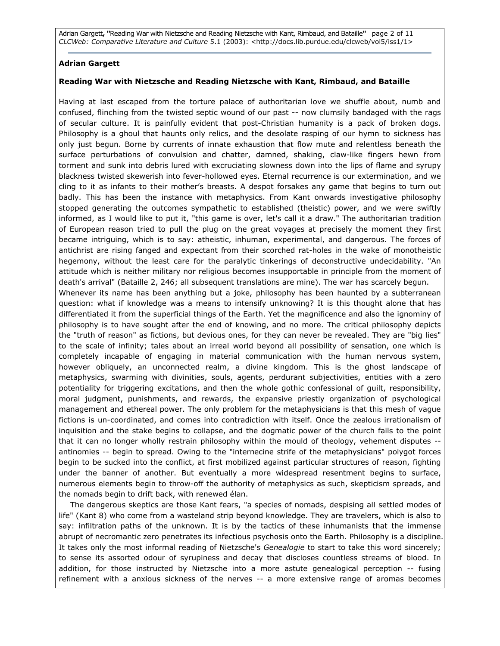Adrian Gargett, "Reading War with Nietzsche and Reading Nietzsche with Kant, Rimbaud, and Bataille" page 2 of 11 CLCWeb: Comparative Literature and Culture 5.1 (2003): <http://docs.lib.purdue.edu/clcweb/vol5/iss1/1>

## Adrian Gargett

## Reading War with Nietzsche and Reading Nietzsche with Kant, Rimbaud, and Bataille

Having at last escaped from the torture palace of authoritarian love we shuffle about, numb and confused, flinching from the twisted septic wound of our past -- now clumsily bandaged with the rags of secular culture. It is painfully evident that post-Christian humanity is a pack of broken dogs. Philosophy is a ghoul that haunts only relics, and the desolate rasping of our hymn to sickness has only just begun. Borne by currents of innate exhaustion that flow mute and relentless beneath the surface perturbations of convulsion and chatter, damned, shaking, claw-like fingers hewn from torment and sunk into debris lured with excruciating slowness down into the lips of flame and syrupy blackness twisted skewerish into fever-hollowed eyes. Eternal recurrence is our extermination, and we cling to it as infants to their mother's breasts. A despot forsakes any game that begins to turn out badly. This has been the instance with metaphysics. From Kant onwards investigative philosophy stopped generating the outcomes sympathetic to established (theistic) power, and we were swiftly informed, as I would like to put it, "this game is over, let's call it a draw." The authoritarian tradition of European reason tried to pull the plug on the great voyages at precisely the moment they first became intriguing, which is to say: atheistic, inhuman, experimental, and dangerous. The forces of antichrist are rising fanged and expectant from their scorched rat-holes in the wake of monotheistic hegemony, without the least care for the paralytic tinkerings of deconstructive undecidability. "An attitude which is neither military nor religious becomes insupportable in principle from the moment of death's arrival" (Bataille 2, 246; all subsequent translations are mine). The war has scarcely begun. Whenever its name has been anything but a joke, philosophy has been haunted by a subterranean question: what if knowledge was a means to intensify unknowing? It is this thought alone that has

differentiated it from the superficial things of the Earth. Yet the magnificence and also the ignominy of philosophy is to have sought after the end of knowing, and no more. The critical philosophy depicts the "truth of reason" as fictions, but devious ones, for they can never be revealed. They are "big lies" to the scale of infinity; tales about an irreal world beyond all possibility of sensation, one which is completely incapable of engaging in material communication with the human nervous system, however obliquely, an unconnected realm, a divine kingdom. This is the ghost landscape of metaphysics, swarming with divinities, souls, agents, perdurant subjectivities, entities with a zero potentiality for triggering excitations, and then the whole gothic confessional of guilt, responsibility, moral judgment, punishments, and rewards, the expansive priestly organization of psychological management and ethereal power. The only problem for the metaphysicians is that this mesh of vague fictions is un-coordinated, and comes into contradiction with itself. Once the zealous irrationalism of inquisition and the stake begins to collapse, and the dogmatic power of the church fails to the point that it can no longer wholly restrain philosophy within the mould of theology, vehement disputes - antinomies -- begin to spread. Owing to the "internecine strife of the metaphysicians" polygot forces begin to be sucked into the conflict, at first mobilized against particular structures of reason, fighting under the banner of another. But eventually a more widespread resentment begins to surface, numerous elements begin to throw-off the authority of metaphysics as such, skepticism spreads, and the nomads begin to drift back, with renewed élan.

The dangerous skeptics are those Kant fears, "a species of nomads, despising all settled modes of life" (Kant 8) who come from a wasteland strip beyond knowledge. They are travelers, which is also to say: infiltration paths of the unknown. It is by the tactics of these inhumanists that the immense abrupt of necromantic zero penetrates its infectious psychosis onto the Earth. Philosophy is a discipline. It takes only the most informal reading of Nietzsche's Genealogie to start to take this word sincerely; to sense its assorted odour of syrupiness and decay that discloses countless streams of blood. In addition, for those instructed by Nietzsche into a more astute genealogical perception -- fusing refinement with a anxious sickness of the nerves -- a more extensive range of aromas becomes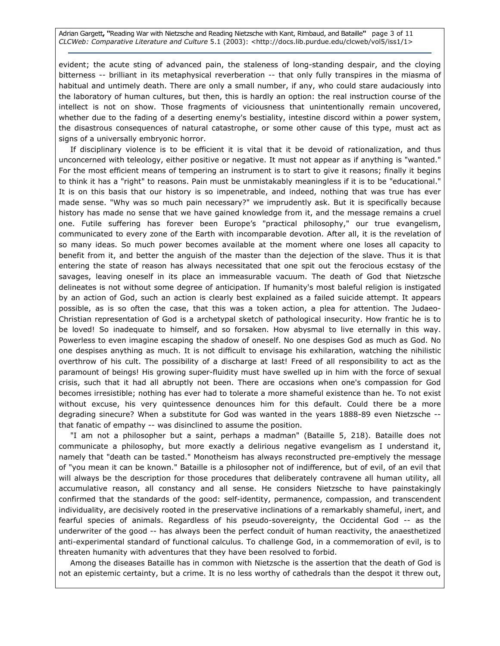Adrian Gargett, "Reading War with Nietzsche and Reading Nietzsche with Kant, Rimbaud, and Bataille" page 3 of 11 CLCWeb: Comparative Literature and Culture 5.1 (2003): <http://docs.lib.purdue.edu/clcweb/vol5/iss1/1>

evident; the acute sting of advanced pain, the staleness of long-standing despair, and the cloying bitterness -- brilliant in its metaphysical reverberation -- that only fully transpires in the miasma of habitual and untimely death. There are only a small number, if any, who could stare audaciously into the laboratory of human cultures, but then, this is hardly an option: the real instruction course of the intellect is not on show. Those fragments of viciousness that unintentionally remain uncovered, whether due to the fading of a deserting enemy's bestiality, intestine discord within a power system, the disastrous consequences of natural catastrophe, or some other cause of this type, must act as signs of a universally embryonic horror.

If disciplinary violence is to be efficient it is vital that it be devoid of rationalization, and thus unconcerned with teleology, either positive or negative. It must not appear as if anything is "wanted." For the most efficient means of tempering an instrument is to start to give it reasons; finally it begins to think it has a "right" to reasons. Pain must be unmistakably meaningless if it is to be "educational." It is on this basis that our history is so impenetrable, and indeed, nothing that was true has ever made sense. "Why was so much pain necessary?" we imprudently ask. But it is specifically because history has made no sense that we have gained knowledge from it, and the message remains a cruel one. Futile suffering has forever been Europe's "practical philosophy," our true evangelism, communicated to every zone of the Earth with incomparable devotion. After all, it is the revelation of so many ideas. So much power becomes available at the moment where one loses all capacity to benefit from it, and better the anguish of the master than the dejection of the slave. Thus it is that entering the state of reason has always necessitated that one spit out the ferocious ecstasy of the savages, leaving oneself in its place an immeasurable vacuum. The death of God that Nietzsche delineates is not without some degree of anticipation. If humanity's most baleful religion is instigated by an action of God, such an action is clearly best explained as a failed suicide attempt. It appears possible, as is so often the case, that this was a token action, a plea for attention. The Judaeo-Christian representation of God is a archetypal sketch of pathological insecurity. How frantic he is to be loved! So inadequate to himself, and so forsaken. How abysmal to live eternally in this way. Powerless to even imagine escaping the shadow of oneself. No one despises God as much as God. No one despises anything as much. It is not difficult to envisage his exhilaration, watching the nihilistic overthrow of his cult. The possibility of a discharge at last! Freed of all responsibility to act as the paramount of beings! His growing super-fluidity must have swelled up in him with the force of sexual crisis, such that it had all abruptly not been. There are occasions when one's compassion for God becomes irresistible; nothing has ever had to tolerate a more shameful existence than he. To not exist without excuse, his very quintessence denounces him for this default. Could there be a more degrading sinecure? When a substitute for God was wanted in the years 1888-89 even Nietzsche - that fanatic of empathy -- was disinclined to assume the position.

"I am not a philosopher but a saint, perhaps a madman" (Bataille 5, 218). Bataille does not communicate a philosophy, but more exactly a delirious negative evangelism as I understand it, namely that "death can be tasted." Monotheism has always reconstructed pre-emptively the message of "you mean it can be known." Bataille is a philosopher not of indifference, but of evil, of an evil that will always be the description for those procedures that deliberately contravene all human utility, all accumulative reason, all constancy and all sense. He considers Nietzsche to have painstakingly confirmed that the standards of the good: self-identity, permanence, compassion, and transcendent individuality, are decisively rooted in the preservative inclinations of a remarkably shameful, inert, and fearful species of animals. Regardless of his pseudo-sovereignty, the Occidental God -- as the underwriter of the good -- has always been the perfect conduit of human reactivity, the anaesthetized anti-experimental standard of functional calculus. To challenge God, in a commemoration of evil, is to threaten humanity with adventures that they have been resolved to forbid.

Among the diseases Bataille has in common with Nietzsche is the assertion that the death of God is not an epistemic certainty, but a crime. It is no less worthy of cathedrals than the despot it threw out,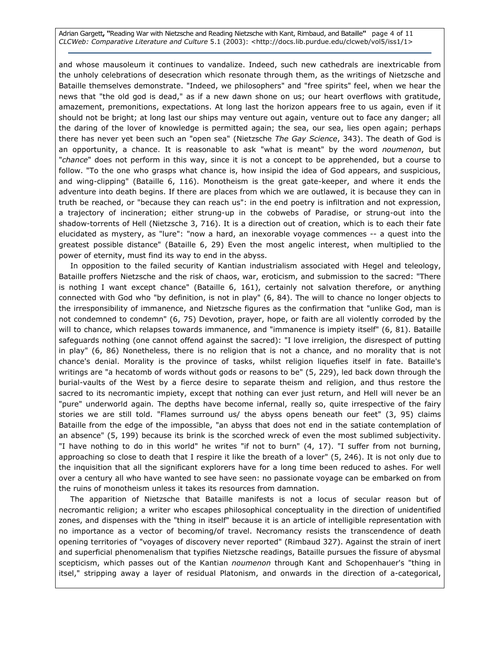Adrian Gargett, "Reading War with Nietzsche and Reading Nietzsche with Kant, Rimbaud, and Bataille" page 4 of 11 CLCWeb: Comparative Literature and Culture 5.1 (2003): <http://docs.lib.purdue.edu/clcweb/vol5/iss1/1>

and whose mausoleum it continues to vandalize. Indeed, such new cathedrals are inextricable from the unholy celebrations of desecration which resonate through them, as the writings of Nietzsche and Bataille themselves demonstrate. "Indeed, we philosophers" and "free spirits" feel, when we hear the news that "the old god is dead," as if a new dawn shone on us; our heart overflows with gratitude, amazement, premonitions, expectations. At long last the horizon appears free to us again, even if it should not be bright; at long last our ships may venture out again, venture out to face any danger; all the daring of the lover of knowledge is permitted again; the sea, our sea, lies open again; perhaps there has never yet been such an "open sea" (Nietzsche The Gay Science, 343). The death of God is an opportunity, a chance. It is reasonable to ask "what is meant" by the word noumenon, but "chance" does not perform in this way, since it is not a concept to be apprehended, but a course to follow. "To the one who grasps what chance is, how insipid the idea of God appears, and suspicious, and wing-clipping" (Bataille 6, 116). Monotheism is the great gate-keeper, and where it ends the adventure into death begins. If there are places from which we are outlawed, it is because they can in truth be reached, or "because they can reach us": in the end poetry is infiltration and not expression, a trajectory of incineration; either strung-up in the cobwebs of Paradise, or strung-out into the shadow-torrents of Hell (Nietzsche 3, 716). It is a direction out of creation, which is to each their fate elucidated as mystery, as "lure": "now a hard, an inexorable voyage commences -- a quest into the greatest possible distance" (Bataille 6, 29) Even the most angelic interest, when multiplied to the power of eternity, must find its way to end in the abyss.

In opposition to the failed security of Kantian industrialism associated with Hegel and teleology, Bataille proffers Nietzsche and the risk of chaos, war, eroticism, and submission to the sacred: "There is nothing I want except chance" (Bataille 6, 161), certainly not salvation therefore, or anything connected with God who "by definition, is not in play" (6, 84). The will to chance no longer objects to the irresponsibility of immanence, and Nietzsche figures as the confirmation that "unlike God, man is not condemned to condemn" (6, 75) Devotion, prayer, hope, or faith are all violently corroded by the will to chance, which relapses towards immanence, and "immanence is impiety itself" (6, 81). Bataille safeguards nothing (one cannot offend against the sacred): "I love irreligion, the disrespect of putting in play" (6, 86) Nonetheless, there is no religion that is not a chance, and no morality that is not chance's denial. Morality is the province of tasks, whilst religion liquefies itself in fate. Bataille's writings are "a hecatomb of words without gods or reasons to be" (5, 229), led back down through the burial-vaults of the West by a fierce desire to separate theism and religion, and thus restore the sacred to its necromantic impiety, except that nothing can ever just return, and Hell will never be an "pure" underworld again. The depths have become infernal, really so, quite irrespective of the fairy stories we are still told. "Flames surround us/ the abyss opens beneath our feet" (3, 95) claims Bataille from the edge of the impossible, "an abyss that does not end in the satiate contemplation of an absence" (5, 199) because its brink is the scorched wreck of even the most sublimed subjectivity. "I have nothing to do in this world" he writes "if not to burn" (4, 17). "I suffer from not burning, approaching so close to death that I respire it like the breath of a lover" (5, 246). It is not only due to the inquisition that all the significant explorers have for a long time been reduced to ashes. For well over a century all who have wanted to see have seen: no passionate voyage can be embarked on from the ruins of monotheism unless it takes its resources from damnation.

The apparition of Nietzsche that Bataille manifests is not a locus of secular reason but of necromantic religion; a writer who escapes philosophical conceptuality in the direction of unidentified zones, and dispenses with the "thing in itself" because it is an article of intelligible representation with no importance as a vector of becoming/of travel. Necromancy resists the transcendence of death opening territories of "voyages of discovery never reported" (Rimbaud 327). Against the strain of inert and superficial phenomenalism that typifies Nietzsche readings, Bataille pursues the fissure of abysmal scepticism, which passes out of the Kantian noumenon through Kant and Schopenhauer's "thing in itsel," stripping away a layer of residual Platonism, and onwards in the direction of a-categorical,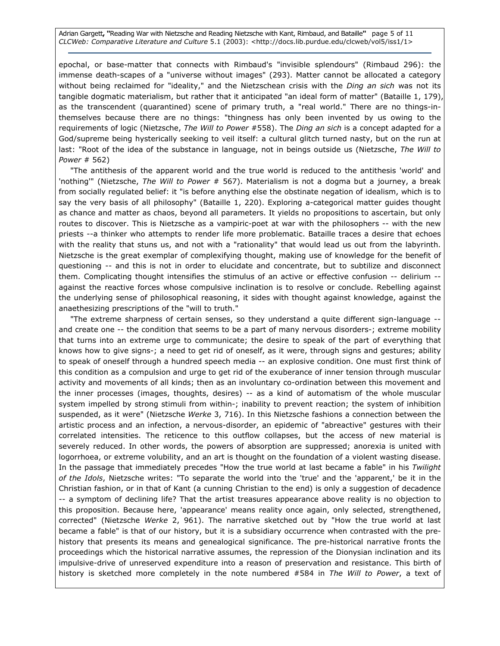Adrian Gargett, "Reading War with Nietzsche and Reading Nietzsche with Kant, Rimbaud, and Bataille" page 5 of 11 CLCWeb: Comparative Literature and Culture 5.1 (2003): <http://docs.lib.purdue.edu/clcweb/vol5/iss1/1>

epochal, or base-matter that connects with Rimbaud's "invisible splendours" (Rimbaud 296): the immense death-scapes of a "universe without images" (293). Matter cannot be allocated a category without being reclaimed for "ideality," and the Nietzschean crisis with the Ding an sich was not its tangible dogmatic materialism, but rather that it anticipated "an ideal form of matter" (Bataille 1, 179), as the transcendent (quarantined) scene of primary truth, a "real world." There are no things-inthemselves because there are no things: "thingness has only been invented by us owing to the requirements of logic (Nietzsche, The Will to Power #558). The Ding an sich is a concept adapted for a God/supreme being hysterically seeking to veil itself: a cultural glitch turned nasty, but on the run at last: "Root of the idea of the substance in language, not in beings outside us (Nietzsche, The Will to Power # 562)

"The antithesis of the apparent world and the true world is reduced to the antithesis 'world' and 'nothing'" (Nietzsche, The Will to Power # 567). Materialism is not a dogma but a journey, a break from socially regulated belief: it "is before anything else the obstinate negation of idealism, which is to say the very basis of all philosophy" (Bataille 1, 220). Exploring a-categorical matter guides thought as chance and matter as chaos, beyond all parameters. It yields no propositions to ascertain, but only routes to discover. This is Nietzsche as a vampiric-poet at war with the philosophers -- with the new priests --a thinker who attempts to render life more problematic. Bataille traces a desire that echoes with the reality that stuns us, and not with a "rationality" that would lead us out from the labyrinth. Nietzsche is the great exemplar of complexifying thought, making use of knowledge for the benefit of questioning -- and this is not in order to elucidate and concentrate, but to subtilize and disconnect them. Complicating thought intensifies the stimulus of an active or effective confusion -- delirium - against the reactive forces whose compulsive inclination is to resolve or conclude. Rebelling against the underlying sense of philosophical reasoning, it sides with thought against knowledge, against the anaethesizing prescriptions of the "will to truth."

"The extreme sharpness of certain senses, so they understand a quite different sign-language - and create one -- the condition that seems to be a part of many nervous disorders-; extreme mobility that turns into an extreme urge to communicate; the desire to speak of the part of everything that knows how to give signs-; a need to get rid of oneself, as it were, through signs and gestures; ability to speak of oneself through a hundred speech media -- an explosive condition. One must first think of this condition as a compulsion and urge to get rid of the exuberance of inner tension through muscular activity and movements of all kinds; then as an involuntary co-ordination between this movement and the inner processes (images, thoughts, desires) -- as a kind of automatism of the whole muscular system impelled by strong stimuli from within-; inability to prevent reaction; the system of inhibition suspended, as it were" (Nietzsche Werke 3, 716). In this Nietzsche fashions a connection between the artistic process and an infection, a nervous-disorder, an epidemic of "abreactive" gestures with their correlated intensities. The reticence to this outflow collapses, but the access of new material is severely reduced. In other words, the powers of absorption are suppressed; anorexia is united with logorrhoea, or extreme volubility, and an art is thought on the foundation of a violent wasting disease. In the passage that immediately precedes "How the true world at last became a fable" in his Twilight of the Idols, Nietzsche writes: "To separate the world into the 'true' and the 'apparent,' be it in the Christian fashion, or in that of Kant (a cunning Christian to the end) is only a suggestion of decadence -- a symptom of declining life? That the artist treasures appearance above reality is no objection to this proposition. Because here, 'appearance' means reality once again, only selected, strengthened, corrected" (Nietzsche Werke 2, 961). The narrative sketched out by "How the true world at last became a fable" is that of our history, but it is a subsidiary occurrence when contrasted with the prehistory that presents its means and genealogical significance. The pre-historical narrative fronts the proceedings which the historical narrative assumes, the repression of the Dionysian inclination and its impulsive-drive of unreserved expenditure into a reason of preservation and resistance. This birth of history is sketched more completely in the note numbered #584 in The Will to Power, a text of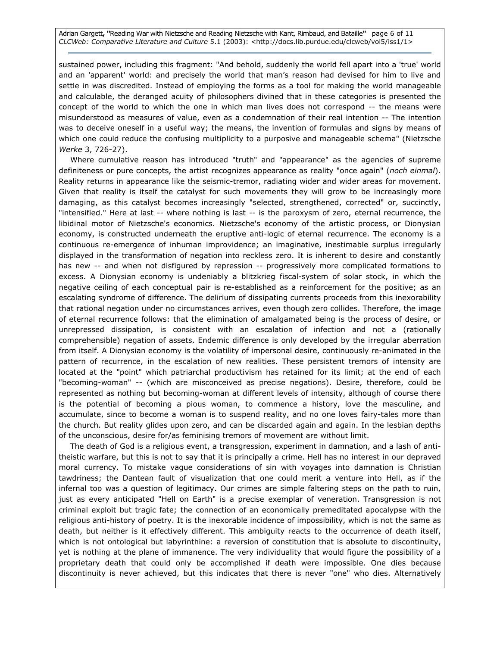Adrian Gargett, "Reading War with Nietzsche and Reading Nietzsche with Kant, Rimbaud, and Bataille" page 6 of 11 CLCWeb: Comparative Literature and Culture 5.1 (2003): <http://docs.lib.purdue.edu/clcweb/vol5/iss1/1>

sustained power, including this fragment: "And behold, suddenly the world fell apart into a 'true' world and an 'apparent' world: and precisely the world that man's reason had devised for him to live and settle in was discredited. Instead of employing the forms as a tool for making the world manageable and calculable, the deranged acuity of philosophers divined that in these categories is presented the concept of the world to which the one in which man lives does not correspond -- the means were misunderstood as measures of value, even as a condemnation of their real intention -- The intention was to deceive oneself in a useful way; the means, the invention of formulas and signs by means of which one could reduce the confusing multiplicity to a purposive and manageable schema" (Nietzsche Werke 3, 726-27).

Where cumulative reason has introduced "truth" and "appearance" as the agencies of supreme definiteness or pure concepts, the artist recognizes appearance as reality "once again" (noch einmal). Reality returns in appearance like the seismic-tremor, radiating wider and wider areas for movement. Given that reality is itself the catalyst for such movements they will grow to be increasingly more damaging, as this catalyst becomes increasingly "selected, strengthened, corrected" or, succinctly, "intensified." Here at last -- where nothing is last -- is the paroxysm of zero, eternal recurrence, the libidinal motor of Nietzsche's economics. Nietzsche's economy of the artistic process, or Dionysian economy, is constructed underneath the eruptive anti-logic of eternal recurrence. The economy is a continuous re-emergence of inhuman improvidence; an imaginative, inestimable surplus irregularly displayed in the transformation of negation into reckless zero. It is inherent to desire and constantly has new -- and when not disfigured by repression -- progressively more complicated formations to excess. A Dionysian economy is undeniably a blitzkrieg fiscal-system of solar stock, in which the negative ceiling of each conceptual pair is re-established as a reinforcement for the positive; as an escalating syndrome of difference. The delirium of dissipating currents proceeds from this inexorability that rational negation under no circumstances arrives, even though zero collides. Therefore, the image of eternal recurrence follows: that the elimination of amalgamated being is the process of desire, or unrepressed dissipation, is consistent with an escalation of infection and not a (rationally comprehensible) negation of assets. Endemic difference is only developed by the irregular aberration from itself. A Dionysian economy is the volatility of impersonal desire, continuously re-animated in the pattern of recurrence, in the escalation of new realities. These persistent tremors of intensity are located at the "point" which patriarchal productivism has retained for its limit; at the end of each "becoming-woman" -- (which are misconceived as precise negations). Desire, therefore, could be represented as nothing but becoming-woman at different levels of intensity, although of course there is the potential of becoming a pious woman, to commence a history, love the masculine, and accumulate, since to become a woman is to suspend reality, and no one loves fairy-tales more than the church. But reality glides upon zero, and can be discarded again and again. In the lesbian depths of the unconscious, desire for/as feminising tremors of movement are without limit.

The death of God is a religious event, a transgression, experiment in damnation, and a lash of antitheistic warfare, but this is not to say that it is principally a crime. Hell has no interest in our depraved moral currency. To mistake vague considerations of sin with voyages into damnation is Christian tawdriness; the Dantean fault of visualization that one could merit a venture into Hell, as if the infernal too was a question of legitimacy. Our crimes are simple faltering steps on the path to ruin, just as every anticipated "Hell on Earth" is a precise exemplar of veneration. Transgression is not criminal exploit but tragic fate; the connection of an economically premeditated apocalypse with the religious anti-history of poetry. It is the inexorable incidence of impossibility, which is not the same as death, but neither is it effectively different. This ambiguity reacts to the occurrence of death itself, which is not ontological but labyrinthine: a reversion of constitution that is absolute to discontinuity, yet is nothing at the plane of immanence. The very individuality that would figure the possibility of a proprietary death that could only be accomplished if death were impossible. One dies because discontinuity is never achieved, but this indicates that there is never "one" who dies. Alternatively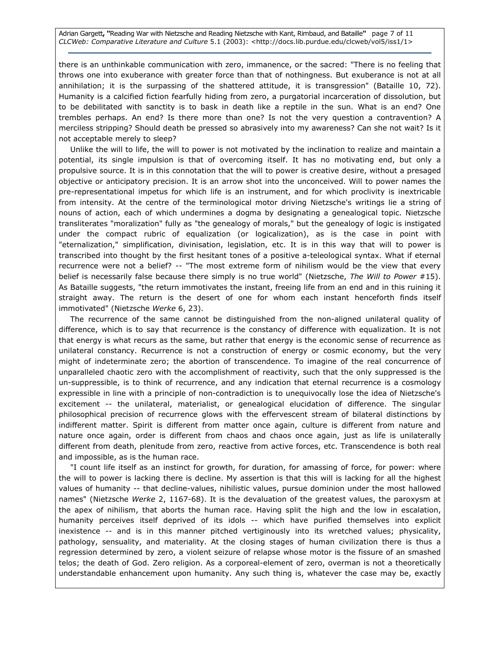Adrian Gargett, "Reading War with Nietzsche and Reading Nietzsche with Kant, Rimbaud, and Bataille" page 7 of 11 CLCWeb: Comparative Literature and Culture 5.1 (2003): <http://docs.lib.purdue.edu/clcweb/vol5/iss1/1>

there is an unthinkable communication with zero, immanence, or the sacred: "There is no feeling that throws one into exuberance with greater force than that of nothingness. But exuberance is not at all annihilation; it is the surpassing of the shattered attitude, it is transgression" (Bataille 10, 72). Humanity is a calcified fiction fearfully hiding from zero, a purgatorial incarceration of dissolution, but to be debilitated with sanctity is to bask in death like a reptile in the sun. What is an end? One trembles perhaps. An end? Is there more than one? Is not the very question a contravention? A merciless stripping? Should death be pressed so abrasively into my awareness? Can she not wait? Is it not acceptable merely to sleep?

Unlike the will to life, the will to power is not motivated by the inclination to realize and maintain a potential, its single impulsion is that of overcoming itself. It has no motivating end, but only a propulsive source. It is in this connotation that the will to power is creative desire, without a presaged objective or anticipatory precision. It is an arrow shot into the unconceived. Will to power names the pre-representational impetus for which life is an instrument, and for which proclivity is inextricable from intensity. At the centre of the terminological motor driving Nietzsche's writings lie a string of nouns of action, each of which undermines a dogma by designating a genealogical topic. Nietzsche transliterates "moralization" fully as "the genealogy of morals," but the genealogy of logic is instigated under the compact rubric of equalization (or logicalization), as is the case in point with "eternalization," simplification, divinisation, legislation, etc. It is in this way that will to power is transcribed into thought by the first hesitant tones of a positive a-teleological syntax. What if eternal recurrence were not a belief? -- "The most extreme form of nihilism would be the view that every belief is necessarily false because there simply is no true world" (Nietzsche, The Will to Power #15). As Bataille suggests, "the return immotivates the instant, freeing life from an end and in this ruining it straight away. The return is the desert of one for whom each instant henceforth finds itself immotivated" (Nietzsche Werke 6, 23).

The recurrence of the same cannot be distinguished from the non-aligned unilateral quality of difference, which is to say that recurrence is the constancy of difference with equalization. It is not that energy is what recurs as the same, but rather that energy is the economic sense of recurrence as unilateral constancy. Recurrence is not a construction of energy or cosmic economy, but the very might of indeterminate zero; the abortion of transcendence. To imagine of the real concurrence of unparalleled chaotic zero with the accomplishment of reactivity, such that the only suppressed is the un-suppressible, is to think of recurrence, and any indication that eternal recurrence is a cosmology expressible in line with a principle of non-contradiction is to unequivocally lose the idea of Nietzsche's excitement -- the unilateral, materialist, or genealogical elucidation of difference. The singular philosophical precision of recurrence glows with the effervescent stream of bilateral distinctions by indifferent matter. Spirit is different from matter once again, culture is different from nature and nature once again, order is different from chaos and chaos once again, just as life is unilaterally different from death, plenitude from zero, reactive from active forces, etc. Transcendence is both real and impossible, as is the human race.

"I count life itself as an instinct for growth, for duration, for amassing of force, for power: where the will to power is lacking there is decline. My assertion is that this will is lacking for all the highest values of humanity -- that decline-values, nihilistic values, pursue dominion under the most hallowed names" (Nietzsche Werke 2, 1167-68). It is the devaluation of the greatest values, the paroxysm at the apex of nihilism, that aborts the human race. Having split the high and the low in escalation, humanity perceives itself deprived of its idols -- which have purified themselves into explicit inexistence -- and is in this manner pitched vertiginously into its wretched values; physicality, pathology, sensuality, and materiality. At the closing stages of human civilization there is thus a regression determined by zero, a violent seizure of relapse whose motor is the fissure of an smashed telos; the death of God. Zero religion. As a corporeal-element of zero, overman is not a theoretically understandable enhancement upon humanity. Any such thing is, whatever the case may be, exactly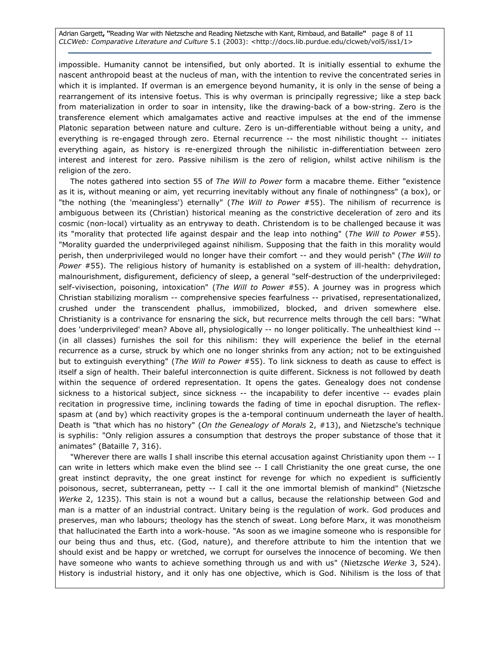Adrian Gargett, "Reading War with Nietzsche and Reading Nietzsche with Kant, Rimbaud, and Bataille" page 8 of 11 CLCWeb: Comparative Literature and Culture 5.1 (2003): <http://docs.lib.purdue.edu/clcweb/vol5/iss1/1>

impossible. Humanity cannot be intensified, but only aborted. It is initially essential to exhume the nascent anthropoid beast at the nucleus of man, with the intention to revive the concentrated series in which it is implanted. If overman is an emergence beyond humanity, it is only in the sense of being a rearrangement of its intensive foetus. This is why overman is principally regressive; like a step back from materialization in order to soar in intensity, like the drawing-back of a bow-string. Zero is the transference element which amalgamates active and reactive impulses at the end of the immense Platonic separation between nature and culture. Zero is un-differentiable without being a unity, and everything is re-engaged through zero. Eternal recurrence -- the most nihilistic thought -- initiates everything again, as history is re-energized through the nihilistic in-differentiation between zero interest and interest for zero. Passive nihilism is the zero of religion, whilst active nihilism is the religion of the zero.

The notes gathered into section 55 of The Will to Power form a macabre theme. Either "existence as it is, without meaning or aim, yet recurring inevitably without any finale of nothingness" (a box), or "the nothing (the 'meaningless') eternally" (The Will to Power #55). The nihilism of recurrence is ambiguous between its (Christian) historical meaning as the constrictive deceleration of zero and its cosmic (non-local) virtuality as an entryway to death. Christendom is to be challenged because it was its "morality that protected life against despair and the leap into nothing" (The Will to Power #55). "Morality guarded the underprivileged against nihilism. Supposing that the faith in this morality would perish, then underprivileged would no longer have their comfort -- and they would perish" (The Will to Power #55). The religious history of humanity is established on a system of ill-health: dehydration, malnourishment, disfigurement, deficiency of sleep, a general "self-destruction of the underprivileged: self-vivisection, poisoning, intoxication" (The Will to Power #55). A journey was in progress which Christian stabilizing moralism -- comprehensive species fearfulness -- privatised, representationalized, crushed under the transcendent phallus, immobilized, blocked, and driven somewhere else. Christianity is a contrivance for ensnaring the sick, but recurrence melts through the cell bars: "What does 'underprivileged' mean? Above all, physiologically -- no longer politically. The unhealthiest kind -- (in all classes) furnishes the soil for this nihilism: they will experience the belief in the eternal recurrence as a curse, struck by which one no longer shrinks from any action; not to be extinguished but to extinguish everything" (The Will to Power #55). To link sickness to death as cause to effect is itself a sign of health. Their baleful interconnection is quite different. Sickness is not followed by death within the sequence of ordered representation. It opens the gates. Genealogy does not condense sickness to a historical subject, since sickness -- the incapability to defer incentive -- evades plain recitation in progressive time, inclining towards the fading of time in epochal disruption. The reflexspasm at (and by) which reactivity gropes is the a-temporal continuum underneath the layer of health. Death is "that which has no history" (On the Genealogy of Morals 2, #13), and Nietzsche's technique is syphilis: "Only religion assures a consumption that destroys the proper substance of those that it animates" (Bataille 7, 316).

"Wherever there are walls I shall inscribe this eternal accusation against Christianity upon them -- I can write in letters which make even the blind see -- I call Christianity the one great curse, the one great instinct depravity, the one great instinct for revenge for which no expedient is sufficiently poisonous, secret, subterranean, petty -- I call it the one immortal blemish of mankind" (Nietzsche Werke 2, 1235). This stain is not a wound but a callus, because the relationship between God and man is a matter of an industrial contract. Unitary being is the regulation of work. God produces and preserves, man who labours; theology has the stench of sweat. Long before Marx, it was monotheism that hallucinated the Earth into a work-house. "As soon as we imagine someone who is responsible for our being thus and thus, etc. (God, nature), and therefore attribute to him the intention that we should exist and be happy or wretched, we corrupt for ourselves the innocence of becoming. We then have someone who wants to achieve something through us and with us" (Nietzsche Werke 3, 524). History is industrial history, and it only has one objective, which is God. Nihilism is the loss of that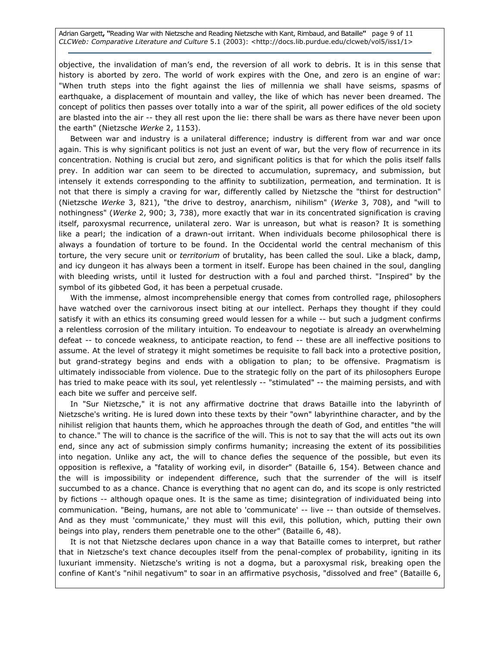Adrian Gargett, "Reading War with Nietzsche and Reading Nietzsche with Kant, Rimbaud, and Bataille" page 9 of 11 CLCWeb: Comparative Literature and Culture 5.1 (2003): <http://docs.lib.purdue.edu/clcweb/vol5/iss1/1>

objective, the invalidation of man's end, the reversion of all work to debris. It is in this sense that history is aborted by zero. The world of work expires with the One, and zero is an engine of war: "When truth steps into the fight against the lies of millennia we shall have seisms, spasms of earthquake, a displacement of mountain and valley, the like of which has never been dreamed. The concept of politics then passes over totally into a war of the spirit, all power edifices of the old society are blasted into the air -- they all rest upon the lie: there shall be wars as there have never been upon the earth" (Nietzsche Werke 2, 1153).

Between war and industry is a unilateral difference; industry is different from war and war once again. This is why significant politics is not just an event of war, but the very flow of recurrence in its concentration. Nothing is crucial but zero, and significant politics is that for which the polis itself falls prey. In addition war can seem to be directed to accumulation, supremacy, and submission, but intensely it extends corresponding to the affinity to subtilization, permeation, and termination. It is not that there is simply a craving for war, differently called by Nietzsche the "thirst for destruction" (Nietzsche Werke 3, 821), "the drive to destroy, anarchism, nihilism" (Werke 3, 708), and "will to nothingness" (Werke 2, 900; 3, 738), more exactly that war in its concentrated signification is craving itself, paroxysmal recurrence, unilateral zero. War is unreason, but what is reason? It is something like a pearl; the indication of a drawn-out irritant. When individuals become philosophical there is always a foundation of torture to be found. In the Occidental world the central mechanism of this torture, the very secure unit or territorium of brutality, has been called the soul. Like a black, damp, and icy dungeon it has always been a torment in itself. Europe has been chained in the soul, dangling with bleeding wrists, until it lusted for destruction with a foul and parched thirst. "Inspired" by the symbol of its gibbeted God, it has been a perpetual crusade.

With the immense, almost incomprehensible energy that comes from controlled rage, philosophers have watched over the carnivorous insect biting at our intellect. Perhaps they thought if they could satisfy it with an ethics its consuming greed would lessen for a while -- but such a judgment confirms a relentless corrosion of the military intuition. To endeavour to negotiate is already an overwhelming defeat -- to concede weakness, to anticipate reaction, to fend -- these are all ineffective positions to assume. At the level of strategy it might sometimes be requisite to fall back into a protective position, but grand-strategy begins and ends with a obligation to plan; to be offensive. Pragmatism is ultimately indissociable from violence. Due to the strategic folly on the part of its philosophers Europe has tried to make peace with its soul, yet relentlessly -- "stimulated" -- the maiming persists, and with each bite we suffer and perceive self.

In "Sur Nietzsche," it is not any affirmative doctrine that draws Bataille into the labyrinth of Nietzsche's writing. He is lured down into these texts by their "own" labyrinthine character, and by the nihilist religion that haunts them, which he approaches through the death of God, and entitles "the will to chance." The will to chance is the sacrifice of the will. This is not to say that the will acts out its own end, since any act of submission simply confirms humanity; increasing the extent of its possibilities into negation. Unlike any act, the will to chance defies the sequence of the possible, but even its opposition is reflexive, a "fatality of working evil, in disorder" (Bataille 6, 154). Between chance and the will is impossibility or independent difference, such that the surrender of the will is itself succumbed to as a chance. Chance is everything that no agent can do, and its scope is only restricted by fictions -- although opaque ones. It is the same as time; disintegration of individuated being into communication. "Being, humans, are not able to 'communicate' -- live -- than outside of themselves. And as they must 'communicate,' they must will this evil, this pollution, which, putting their own beings into play, renders them penetrable one to the other" (Bataille 6, 48).

It is not that Nietzsche declares upon chance in a way that Bataille comes to interpret, but rather that in Nietzsche's text chance decouples itself from the penal-complex of probability, igniting in its luxuriant immensity. Nietzsche's writing is not a dogma, but a paroxysmal risk, breaking open the confine of Kant's "nihil negativum" to soar in an affirmative psychosis, "dissolved and free" (Bataille 6,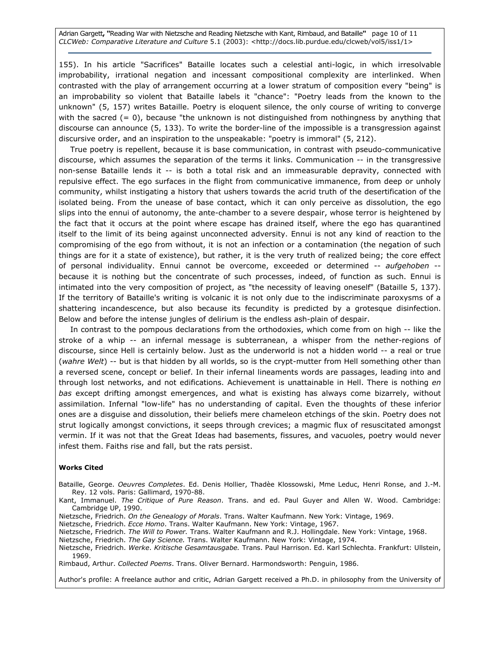Adrian Gargett, "Reading War with Nietzsche and Reading Nietzsche with Kant, Rimbaud, and Bataille" page 10 of 11 CLCWeb: Comparative Literature and Culture 5.1 (2003): <http://docs.lib.purdue.edu/clcweb/vol5/iss1/1>

155). In his article "Sacrifices" Bataille locates such a celestial anti-logic, in which irresolvable improbability, irrational negation and incessant compositional complexity are interlinked. When contrasted with the play of arrangement occurring at a lower stratum of composition every "being" is an improbability so violent that Bataille labels it "chance": "Poetry leads from the known to the unknown" (5, 157) writes Bataille. Poetry is eloquent silence, the only course of writing to converge with the sacred  $(= 0)$ , because "the unknown is not distinguished from nothingness by anything that discourse can announce (5, 133). To write the border-line of the impossible is a transgression against discursive order, and an inspiration to the unspeakable: "poetry is immoral" (5, 212).

True poetry is repellent, because it is base communication, in contrast with pseudo-communicative discourse, which assumes the separation of the terms it links. Communication -- in the transgressive non-sense Bataille lends it -- is both a total risk and an immeasurable depravity, connected with repulsive effect. The ego surfaces in the flight from communicative immanence, from deep or unholy community, whilst instigating a history that ushers towards the acrid truth of the desertification of the isolated being. From the unease of base contact, which it can only perceive as dissolution, the ego slips into the ennui of autonomy, the ante-chamber to a severe despair, whose terror is heightened by the fact that it occurs at the point where escape has drained itself, where the ego has quarantined itself to the limit of its being against unconnected adversity. Ennui is not any kind of reaction to the compromising of the ego from without, it is not an infection or a contamination (the negation of such things are for it a state of existence), but rather, it is the very truth of realized being; the core effect of personal individuality. Ennui cannot be overcome, exceeded or determined -- aufgehoben -because it is nothing but the concentrate of such processes, indeed, of function as such. Ennui is intimated into the very composition of project, as "the necessity of leaving oneself" (Bataille 5, 137). If the territory of Bataille's writing is volcanic it is not only due to the indiscriminate paroxysms of a shattering incandescence, but also because its fecundity is predicted by a grotesque disinfection. Below and before the intense jungles of delirium is the endless ash-plain of despair.

In contrast to the pompous declarations from the orthodoxies, which come from on high -- like the stroke of a whip -- an infernal message is subterranean, a whisper from the nether-regions of discourse, since Hell is certainly below. Just as the underworld is not a hidden world -- a real or true (wahre Welt) -- but is that hidden by all worlds, so is the crypt-mutter from Hell something other than a reversed scene, concept or belief. In their infernal lineaments words are passages, leading into and through lost networks, and not edifications. Achievement is unattainable in Hell. There is nothing en bas except drifting amongst emergences, and what is existing has always come bizarrely, without assimilation. Infernal "low-life" has no understanding of capital. Even the thoughts of these inferior ones are a disguise and dissolution, their beliefs mere chameleon etchings of the skin. Poetry does not strut logically amongst convictions, it seeps through crevices; a magmic flux of resuscitated amongst vermin. If it was not that the Great Ideas had basements, fissures, and vacuoles, poetry would never infest them. Faiths rise and fall, but the rats persist.

#### Works Cited

Bataille, George. Oeuvres Completes. Ed. Denis Hollier, Thadèe Klossowski, Mme Leduc, Henri Ronse, and J.-M. Rey. 12 vols. Paris: Gallimard, 1970-88.

Kant, Immanuel. The Critique of Pure Reason. Trans. and ed. Paul Guyer and Allen W. Wood. Cambridge: Cambridge UP, 1990.

Nietzsche, Friedrich. On the Genealogy of Morals. Trans. Walter Kaufmann. New York: Vintage, 1969.

Nietzsche, Friedrich. Ecce Homo. Trans. Walter Kaufmann. New York: Vintage, 1967.

Nietzsche, Friedrich. The Will to Power. Trans. Walter Kaufmann and R.J. Hollingdale. New York: Vintage, 1968.

Nietzsche, Friedrich. The Gay Science. Trans. Walter Kaufmann. New York: Vintage, 1974.

Nietzsche, Friedrich. Werke. Kritische Gesamtausgabe. Trans. Paul Harrison. Ed. Karl Schlechta. Frankfurt: Ullstein, 1969.

Rimbaud, Arthur. Collected Poems. Trans. Oliver Bernard. Harmondsworth: Penguin, 1986.

Author's profile: A freelance author and critic, Adrian Gargett received a Ph.D. in philosophy from the University of